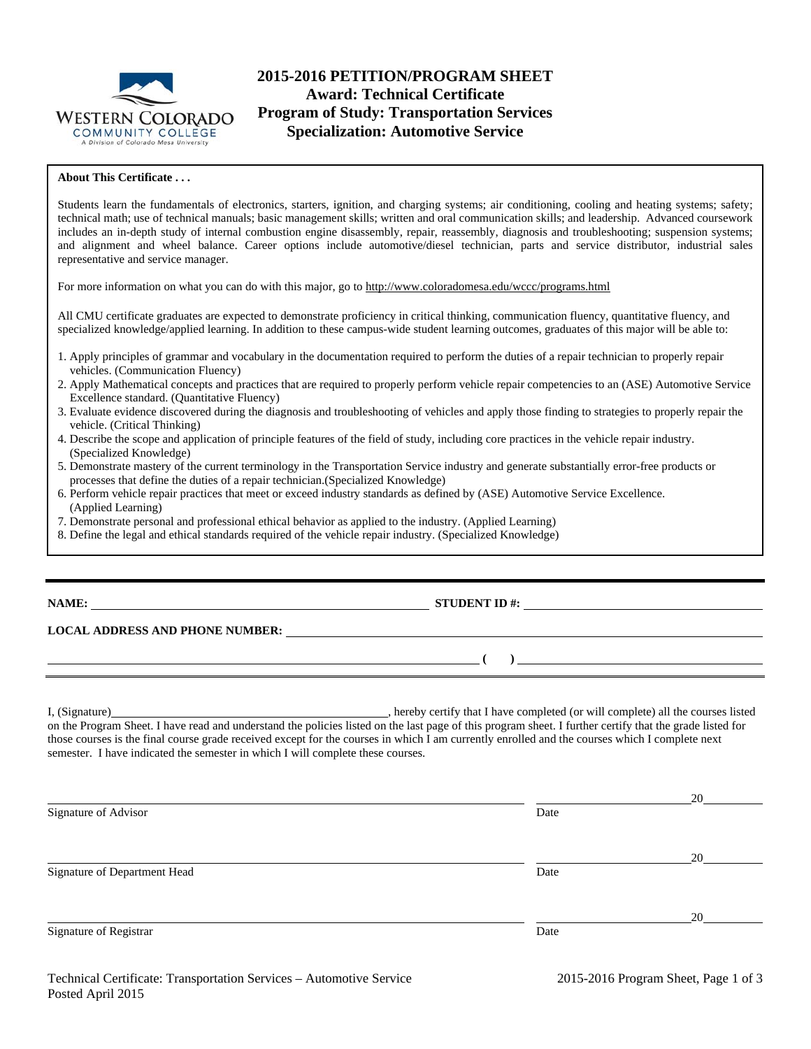

# **2015-2016 PETITION/PROGRAM SHEET Award: Technical Certificate Program of Study: Transportation Services Specialization: Automotive Service**

## **About This Certificate . . .**

Students learn the fundamentals of electronics, starters, ignition, and charging systems; air conditioning, cooling and heating systems; safety; technical math; use of technical manuals; basic management skills; written and oral communication skills; and leadership. Advanced coursework includes an in-depth study of internal combustion engine disassembly, repair, reassembly, diagnosis and troubleshooting; suspension systems; and alignment and wheel balance. Career options include automotive/diesel technician, parts and service distributor, industrial sales representative and service manager.

For more information on what you can do with this major, go to http://www.coloradomesa.edu/wccc/programs.html

All CMU certificate graduates are expected to demonstrate proficiency in critical thinking, communication fluency, quantitative fluency, and specialized knowledge/applied learning. In addition to these campus-wide student learning outcomes, graduates of this major will be able to:

- 1. Apply principles of grammar and vocabulary in the documentation required to perform the duties of a repair technician to properly repair vehicles. (Communication Fluency)
- 2. Apply Mathematical concepts and practices that are required to properly perform vehicle repair competencies to an (ASE) Automotive Service Excellence standard. (Quantitative Fluency)
- 3. Evaluate evidence discovered during the diagnosis and troubleshooting of vehicles and apply those finding to strategies to properly repair the vehicle. (Critical Thinking)
- 4. Describe the scope and application of principle features of the field of study, including core practices in the vehicle repair industry. (Specialized Knowledge)
- 5. Demonstrate mastery of the current terminology in the Transportation Service industry and generate substantially error-free products or processes that define the duties of a repair technician.(Specialized Knowledge)
- 6. Perform vehicle repair practices that meet or exceed industry standards as defined by (ASE) Automotive Service Excellence. (Applied Learning)
- 7. Demonstrate personal and professional ethical behavior as applied to the industry. (Applied Learning)
- 8. Define the legal and ethical standards required of the vehicle repair industry. (Specialized Knowledge)

## **NAME: STUDENT ID #: STUDENT ID #: STUDENT ID #: STUDENT ID #: STUDENT ID #: STUDENT ID #: STUDENT ID #: STUDENT ID #: STUDENT ID #: STUDENT ID #: STUDENT ID #: STUDENT ID #: STUDENT ID #: STUDE**

 **( )** 

#### **LOCAL ADDRESS AND PHONE NUMBER:**

I, (Signature) , hereby certify that I have completed (or will complete) all the courses listed on the Program Sheet. I have read and understand the policies listed on the last page of this program sheet. I further certify that the grade listed for those courses is the final course grade received except for the courses in which I am currently enrolled and the courses which I complete next semester. I have indicated the semester in which I will complete these courses.

| Signature of Advisor         | Date | 20 |
|------------------------------|------|----|
|                              |      |    |
|                              |      | 20 |
| Signature of Department Head | Date |    |
|                              |      |    |
| Signature of Registrar       | Date | 20 |
|                              |      |    |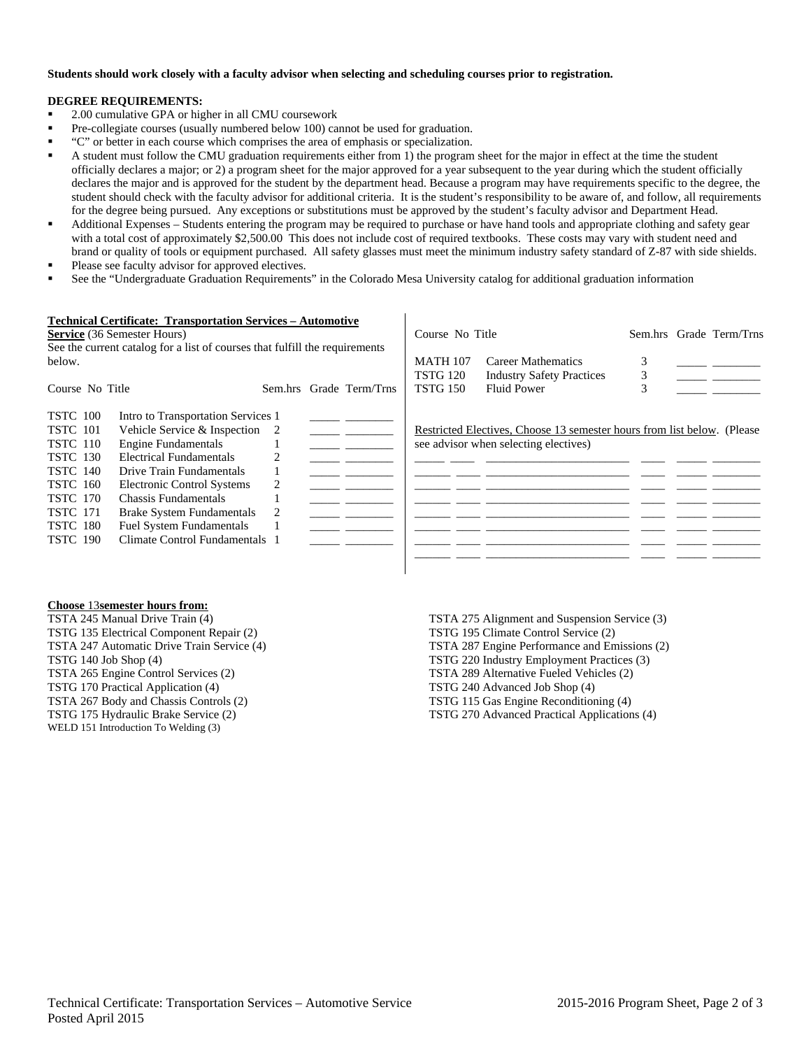### **Students should work closely with a faculty advisor when selecting and scheduling courses prior to registration.**

### **DEGREE REQUIREMENTS:**

- <sup>2</sup> 2.00 cumulative GPA or higher in all CMU coursework
- Pre-collegiate courses (usually numbered below 100) cannot be used for graduation.
- "C" or better in each course which comprises the area of emphasis or specialization.
- A student must follow the CMU graduation requirements either from 1) the program sheet for the major in effect at the time the student officially declares a major; or 2) a program sheet for the major approved for a year subsequent to the year during which the student officially declares the major and is approved for the student by the department head. Because a program may have requirements specific to the degree, the student should check with the faculty advisor for additional criteria. It is the student's responsibility to be aware of, and follow, all requirements for the degree being pursued. Any exceptions or substitutions must be approved by the student's faculty advisor and Department Head.
- Additional Expenses Students entering the program may be required to purchase or have hand tools and appropriate clothing and safety gear with a total cost of approximately \$2,500.00 This does not include cost of required textbooks. These costs may vary with student need and brand or quality of tools or equipment purchased. All safety glasses must meet the minimum industry safety standard of Z-87 with side shields.
- Please see faculty advisor for approved electives.
- See the "Undergraduate Graduation Requirements" in the Colorado Mesa University catalog for additional graduation information

|                                                                             | <b>Technical Certificate: Transportation Services - Automotive</b> |   |  |                         |                 |                                                                          |                         |  |
|-----------------------------------------------------------------------------|--------------------------------------------------------------------|---|--|-------------------------|-----------------|--------------------------------------------------------------------------|-------------------------|--|
| <b>Service</b> (36 Semester Hours)                                          |                                                                    |   |  | Course No Title         |                 |                                                                          | Sem.hrs Grade Term/Trns |  |
| See the current catalog for a list of courses that fulfill the requirements |                                                                    |   |  |                         |                 |                                                                          |                         |  |
| below.                                                                      |                                                                    |   |  |                         | <b>MATH 107</b> | Career Mathematics                                                       |                         |  |
|                                                                             |                                                                    |   |  |                         | <b>TSTG 120</b> | <b>Industry Safety Practices</b>                                         | 3                       |  |
| Course No Title                                                             |                                                                    |   |  | Sem.hrs Grade Term/Trns | <b>TSTG 150</b> | <b>Fluid Power</b>                                                       |                         |  |
|                                                                             |                                                                    |   |  |                         |                 |                                                                          |                         |  |
| <b>TSTC</b> 100                                                             | Intro to Transportation Services 1                                 |   |  |                         |                 |                                                                          |                         |  |
| <b>TSTC</b> 101                                                             | Vehicle Service & Inspection 2                                     |   |  |                         |                 | Restricted Electives, Choose 13 semester hours from list below. (Please) |                         |  |
| <b>TSTC</b> 110                                                             | <b>Engine Fundamentals</b>                                         |   |  |                         |                 | see advisor when selecting electives)                                    |                         |  |
| <b>TSTC 130</b>                                                             | Electrical Fundamentals                                            |   |  |                         |                 |                                                                          |                         |  |
| <b>TSTC 140</b>                                                             | Drive Train Fundamentals                                           |   |  |                         |                 |                                                                          |                         |  |
| <b>TSTC</b> 160                                                             | Electronic Control Systems                                         | 2 |  |                         |                 |                                                                          |                         |  |
| <b>TSTC 170</b>                                                             | Chassis Fundamentals                                               |   |  |                         |                 |                                                                          |                         |  |
| <b>TSTC</b> 171                                                             | <b>Brake System Fundamentals</b>                                   |   |  |                         |                 |                                                                          |                         |  |
| <b>TSTC 180</b>                                                             | <b>Fuel System Fundamentals</b>                                    |   |  |                         |                 |                                                                          |                         |  |
| <b>TSTC 190</b>                                                             | Climate Control Fundamentals 1                                     |   |  |                         |                 |                                                                          |                         |  |
|                                                                             |                                                                    |   |  |                         |                 |                                                                          |                         |  |
|                                                                             |                                                                    |   |  |                         |                 |                                                                          |                         |  |

#### **Choose** 13**semester hours from:**

TSTA 245 Manual Drive Train (4) TSTG 135 Electrical Component Repair (2) TSTA 247 Automatic Drive Train Service (4) TSTG 140 Job Shop (4) TSTA 265 Engine Control Services (2) TSTG 170 Practical Application (4) TSTA 267 Body and Chassis Controls (2) TSTG 175 Hydraulic Brake Service (2) WELD 151 Introduction To Welding (3)

TSTA 275 Alignment and Suspension Service (3) TSTG 195 Climate Control Service (2) TSTA 287 Engine Performance and Emissions (2) TSTG 220 Industry Employment Practices (3) TSTA 289 Alternative Fueled Vehicles (2) TSTG 240 Advanced Job Shop (4) TSTG 115 Gas Engine Reconditioning (4) TSTG 270 Advanced Practical Applications (4)